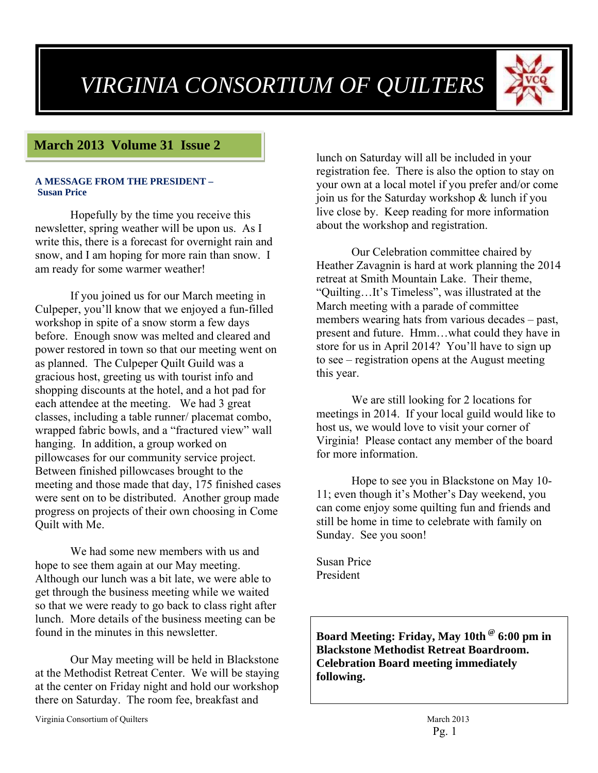# *VIRGINIA CONSORTIUM OF QUILTERS*



# **March 2013 Volume 31 Issue 2**

#### **A MESSAGE FROM THE PRESIDENT – Susan Price**

Hopefully by the time you receive this newsletter, spring weather will be upon us. As I write this, there is a forecast for overnight rain and snow, and I am hoping for more rain than snow. I am ready for some warmer weather!

If you joined us for our March meeting in Culpeper, you'll know that we enjoyed a fun-filled workshop in spite of a snow storm a few days before. Enough snow was melted and cleared and power restored in town so that our meeting went on as planned. The Culpeper Quilt Guild was a gracious host, greeting us with tourist info and shopping discounts at the hotel, and a hot pad for each attendee at the meeting. We had 3 great classes, including a table runner/ placemat combo, wrapped fabric bowls, and a "fractured view" wall hanging. In addition, a group worked on pillowcases for our community service project. Between finished pillowcases brought to the meeting and those made that day, 175 finished cases were sent on to be distributed. Another group made progress on projects of their own choosing in Come Quilt with Me.

We had some new members with us and hope to see them again at our May meeting. Although our lunch was a bit late, we were able to get through the business meeting while we waited so that we were ready to go back to class right after lunch. More details of the business meeting can be found in the minutes in this newsletter.

Our May meeting will be held in Blackstone at the Methodist Retreat Center. We will be staying at the center on Friday night and hold our workshop there on Saturday. The room fee, breakfast and

Virginia Consortium of Quilters March 2013

lunch on Saturday will all be included in your registration fee. There is also the option to stay on your own at a local motel if you prefer and/or come join us for the Saturday workshop & lunch if you live close by. Keep reading for more information about the workshop and registration.

Our Celebration committee chaired by Heather Zavagnin is hard at work planning the 2014 retreat at Smith Mountain Lake. Their theme, "Quilting…It's Timeless", was illustrated at the March meeting with a parade of committee members wearing hats from various decades – past, present and future. Hmm…what could they have in store for us in April 2014? You'll have to sign up to see – registration opens at the August meeting this year.

We are still looking for 2 locations for meetings in 2014. If your local guild would like to host us, we would love to visit your corner of Virginia! Please contact any member of the board for more information.

Hope to see you in Blackstone on May 10- 11; even though it's Mother's Day weekend, you can come enjoy some quilting fun and friends and still be home in time to celebrate with family on Sunday. See you soon!

Susan Price President

**Board Meeting: Friday, May 10th @ 6:00 pm in Blackstone Methodist Retreat Boardroom. Celebration Board meeting immediately following.**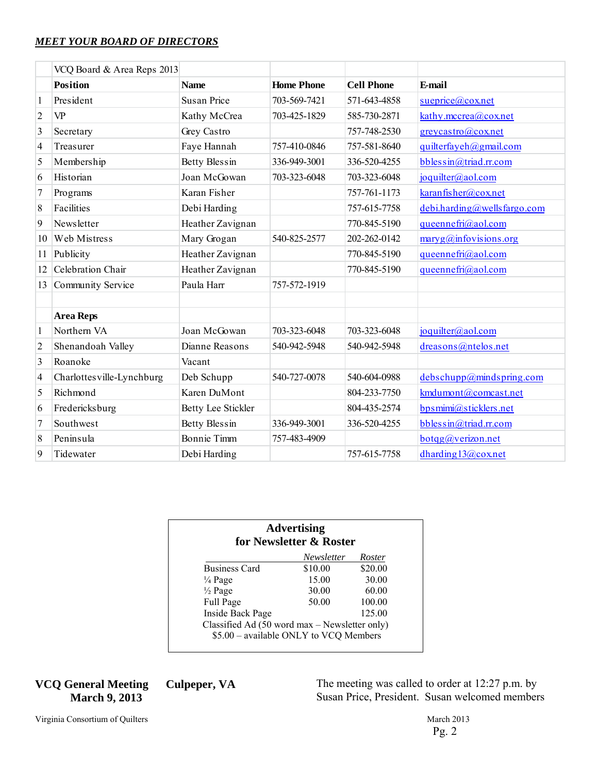#### *MEET YOUR BOARD OF DIRECTORS*

|                          | VCQ Board & Area Reps 2013 |                    |                   |                   |                                         |
|--------------------------|----------------------------|--------------------|-------------------|-------------------|-----------------------------------------|
|                          | <b>Position</b>            | <b>Name</b>        | <b>Home Phone</b> | <b>Cell Phone</b> | E-mail                                  |
|                          | President                  | Susan Price        | 703-569-7421      | 571-643-4858      | $s^{u}$ eprice@cox.net                  |
| $\overline{2}$           | <b>VP</b>                  | Kathy McCrea       | 703-425-1829      | 585-730-2871      | kathy.mccrea@cox.net                    |
| 3                        | Secretary                  | Grey Castro        |                   | 757-748-2530      | greycastro@coxnet                       |
| $\overline{4}$           | Treasurer                  | Faye Hannah        | 757-410-0846      | 757-581-8640      | quilterfayeh@gmail.com                  |
| 5                        | Membership                 | Betty Blessin      | 336-949-3001      | 336-520-4255      | bblessin@triad.rr.com                   |
| 6                        | Historian                  | Joan McGowan       | 703-323-6048      | 703-323-6048      | joquilter@aol.com                       |
| $\overline{7}$           | Programs                   | Karan Fisher       |                   | 757-761-1173      | karanfisher@cox.net                     |
| 8                        | Facilities                 | Debi Harding       |                   | 757-615-7758      | $debi. harding@wells$ fargo.com         |
| 9                        | <b>Newsletter</b>          | Heather Zavignan   |                   | 770-845-5190      | queennefri@aol.com                      |
| 10                       | Web Mistress               | Mary Grogan        | 540-825-2577      | 202-262-0142      | $\frac{\text{maryg}(a)$ infovisions org |
| 11                       | Publicity                  | Heather Zavignan   |                   | 770-845-5190      | queennefri@aol.com                      |
| 12                       | Celebration Chair          | Heather Zavignan   |                   | 770-845-5190      | queennefri@aol.com                      |
| 13                       | Community Service          | Paula Harr         | 757-572-1919      |                   |                                         |
|                          |                            |                    |                   |                   |                                         |
|                          | <b>Area Reps</b>           |                    |                   |                   |                                         |
| 1                        | Northern VA                | Joan McGowan       | 703-323-6048      | 703-323-6048      | joquilter@aol.com                       |
| $\overline{2}$           | Shenandoah Valley          | Dianne Reasons     | 540-942-5948      | 540-942-5948      | dreasons@ntelos.net                     |
| 3                        | Roanoke                    | Vacant             |                   |                   |                                         |
| $\overline{\mathcal{L}}$ | Charlottes ville-Lynchburg | Deb Schupp         | 540-727-0078      | 540-604-0988      | debschupp@mindspring.com                |
| 5                        | Richmond                   | Karen DuMont       |                   | 804-233-7750      | kmdumont@comcast.net                    |
| 6                        | Fredericksburg             | Betty Lee Stickler |                   | 804-435-2574      | bpsmimi@sticklers.net                   |
| $\overline{7}$           | Southwest                  | Betty Blessin      | 336-949-3001      | 336-520-4255      | bblessin@triad.rr.com                   |
| 8                        | Peninsula                  | <b>Bonnie Timm</b> | 757-483-4909      |                   | $bot$ g@verizon.net                     |
| 9                        | Tidewater                  | Debi Harding       |                   | 757-615-7758      | dharding $13@cov.net$                   |

|                                                                                         | <b>Advertising</b><br>for Newsletter & Roster |         |
|-----------------------------------------------------------------------------------------|-----------------------------------------------|---------|
|                                                                                         | Newsletter                                    | Roster  |
| <b>Business Card</b>                                                                    | \$10.00                                       | \$20.00 |
| $\frac{1}{4}$ Page                                                                      | 15.00                                         | 30.00   |
| $\frac{1}{2}$ Page                                                                      | 30.00                                         | 60.00   |
| Full Page                                                                               | 50.00                                         | 100.00  |
| Inside Back Page                                                                        |                                               | 125.00  |
| Classified Ad (50 word max – Newsletter only)<br>\$5.00 - available ONLY to VCQ Members |                                               |         |

## **VCQ General Meeting Culpeper, VA March 9, 2013**

The meeting was called to order at 12:27 p.m. by Susan Price, President. Susan welcomed members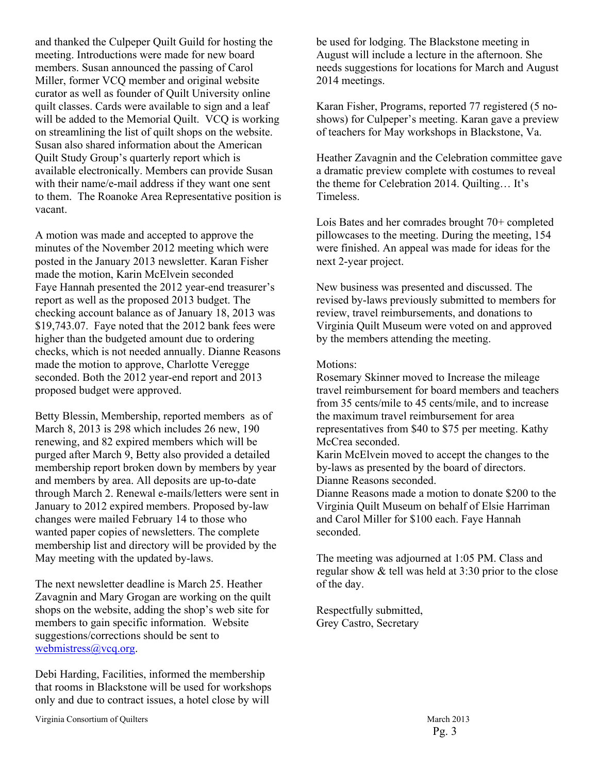and thanked the Culpeper Quilt Guild for hosting the meeting. Introductions were made for new board members. Susan announced the passing of Carol Miller, former VCQ member and original website curator as well as founder of Quilt University online quilt classes. Cards were available to sign and a leaf will be added to the Memorial Quilt. VCQ is working on streamlining the list of quilt shops on the website. Susan also shared information about the American Quilt Study Group's quarterly report which is available electronically. Members can provide Susan with their name/e-mail address if they want one sent to them. The Roanoke Area Representative position is vacant.

A motion was made and accepted to approve the minutes of the November 2012 meeting which were posted in the January 2013 newsletter. Karan Fisher made the motion, Karin McElvein seconded Faye Hannah presented the 2012 year-end treasurer's report as well as the proposed 2013 budget. The checking account balance as of January 18, 2013 was \$19,743.07. Faye noted that the 2012 bank fees were higher than the budgeted amount due to ordering checks, which is not needed annually. Dianne Reasons made the motion to approve, Charlotte Veregge seconded. Both the 2012 year-end report and 2013 proposed budget were approved.

Betty Blessin, Membership, reported members as of March 8, 2013 is 298 which includes 26 new, 190 renewing, and 82 expired members which will be purged after March 9, Betty also provided a detailed membership report broken down by members by year and members by area. All deposits are up-to-date through March 2. Renewal e-mails/letters were sent in January to 2012 expired members. Proposed by-law changes were mailed February 14 to those who wanted paper copies of newsletters. The complete membership list and directory will be provided by the May meeting with the updated by-laws.

The next newsletter deadline is March 25. Heather Zavagnin and Mary Grogan are working on the quilt shops on the website, adding the shop's web site for members to gain specific information. Website suggestions/corrections should be sent to webmistress@vcq.org.

Debi Harding, Facilities, informed the membership that rooms in Blackstone will be used for workshops only and due to contract issues, a hotel close by will

be used for lodging. The Blackstone meeting in August will include a lecture in the afternoon. She needs suggestions for locations for March and August 2014 meetings.

Karan Fisher, Programs, reported 77 registered (5 noshows) for Culpeper's meeting. Karan gave a preview of teachers for May workshops in Blackstone, Va.

Heather Zavagnin and the Celebration committee gave a dramatic preview complete with costumes to reveal the theme for Celebration 2014. Quilting… It's Timeless.

Lois Bates and her comrades brought 70+ completed pillowcases to the meeting. During the meeting, 154 were finished. An appeal was made for ideas for the next 2-year project.

New business was presented and discussed. The revised by-laws previously submitted to members for review, travel reimbursements, and donations to Virginia Quilt Museum were voted on and approved by the members attending the meeting.

#### Motions:

Rosemary Skinner moved to Increase the mileage travel reimbursement for board members and teachers from 35 cents/mile to 45 cents/mile, and to increase the maximum travel reimbursement for area representatives from \$40 to \$75 per meeting. Kathy McCrea seconded.

Karin McElvein moved to accept the changes to the by-laws as presented by the board of directors. Dianne Reasons seconded.

Dianne Reasons made a motion to donate \$200 to the Virginia Quilt Museum on behalf of Elsie Harriman and Carol Miller for \$100 each. Faye Hannah seconded.

The meeting was adjourned at 1:05 PM. Class and regular show & tell was held at 3:30 prior to the close of the day.

Respectfully submitted, Grey Castro, Secretary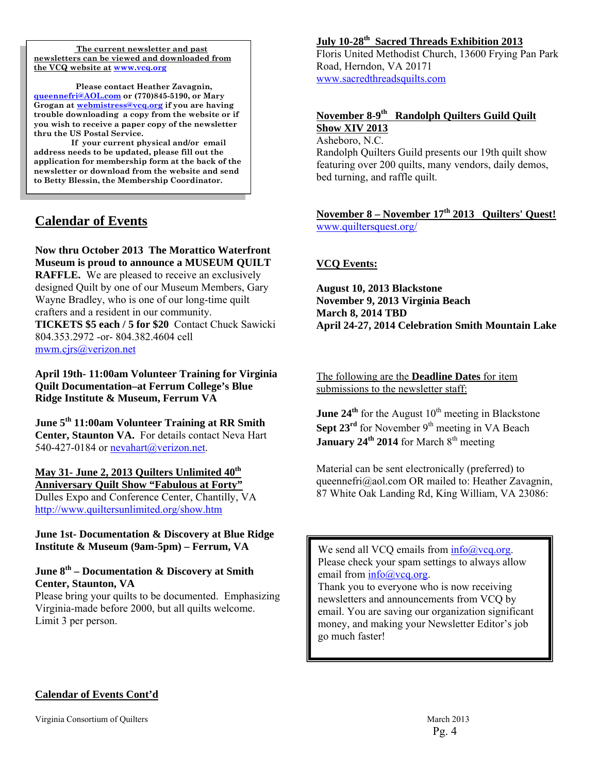**The current newsletter and past newsletters can be viewed and downloaded from the VCQ website at www.vcq.org**

 **Please contact Heather Zavagnin, queennefri@AOL.com or (770)845-5190, or Mary Grogan at webmistress@vcq.org if you are having trouble downloading a copy from the website or if you wish to receive a paper copy of the newsletter thru the US Postal Service.** 

 **If your current physical and/or email address needs to be updated, please fill out the application for membership form at the back of the newsletter or download from the website and send to Betty Blessin, the Membership Coordinator.** 

# **Calendar of Events**

**Now thru October 2013 The Morattico Waterfront Museum is proud to announce a MUSEUM QUILT RAFFLE.** We are pleased to receive an exclusively designed Quilt by one of our Museum Members, Gary Wayne Bradley, who is one of our long-time quilt crafters and a resident in our community. **TICKETS \$5 each / 5 for \$20** Contact Chuck Sawicki

804.353.2972 -or- 804.382.4604 cell mwm.cjrs@verizon.net

**April 19th- 11:00am Volunteer Training for Virginia Quilt Documentation–at Ferrum College's Blue Ridge Institute & Museum, Ferrum VA** 

**June 5th 11:00am Volunteer Training at RR Smith Center, Staunton VA.** For details contact Neva Hart 540-427-0184 or nevahart@verizon.net.

#### May 31- June 2, 2013 Quilters Unlimited  $40^{\text{th}}$ **Anniversary Quilt Show "Fabulous at Forty"**

Dulles Expo and Conference Center, Chantilly, VA http://www.quiltersunlimited.org/show.htm

#### **June 1st- Documentation & Discovery at Blue Ridge Institute & Museum (9am-5pm) – Ferrum, VA**

#### **June 8th – Documentation & Discovery at Smith Center, Staunton, VA**

Please bring your quilts to be documented. Emphasizing Virginia-made before 2000, but all quilts welcome. Limit 3 per person.

# **July 10-28th Sacred Threads Exhibition 2013**

Floris United Methodist Church, 13600 Frying Pan Park Road, Herndon, VA 20171 www.sacredthreadsquilts.com

#### **November 8-9th Randolph Quilters Guild Quilt Show XIV 2013**

Asheboro, N.C. Randolph Quilters Guild presents our 19th quilt show featuring over 200 quilts, many vendors, daily demos, bed turning, and raffle quilt.

## **November 8 – November 17th 2013 Quilters' Quest!**  www.quiltersquest.org/

# **VCQ Events:**

**August 10, 2013 Blackstone November 9, 2013 Virginia Beach March 8, 2014 TBD April 24-27, 2014 Celebration Smith Mountain Lake** 

#### The following are the **Deadline Dates** for item submissions to the newsletter staff:

**June 24<sup>th</sup>** for the August  $10<sup>th</sup>$  meeting in Blackstone **Sept 23<sup>rd</sup>** for November  $9<sup>th</sup>$  meeting in VA Beach **January 24<sup>th</sup> 2014** for March 8<sup>th</sup> meeting

Material can be sent electronically (preferred) to queennefri@aol.com OR mailed to: Heather Zavagnin, 87 White Oak Landing Rd, King William, VA 23086:

We send all VCQ emails from  $info@vcq.org$ . Please check your spam settings to always allow email from  $info@vcq.org$ .

Thank you to everyone who is now receiving newsletters and announcements from VCQ by email. You are saving our organization significant money, and making your Newsletter Editor's job go much faster!

# **Calendar of Events Cont'd**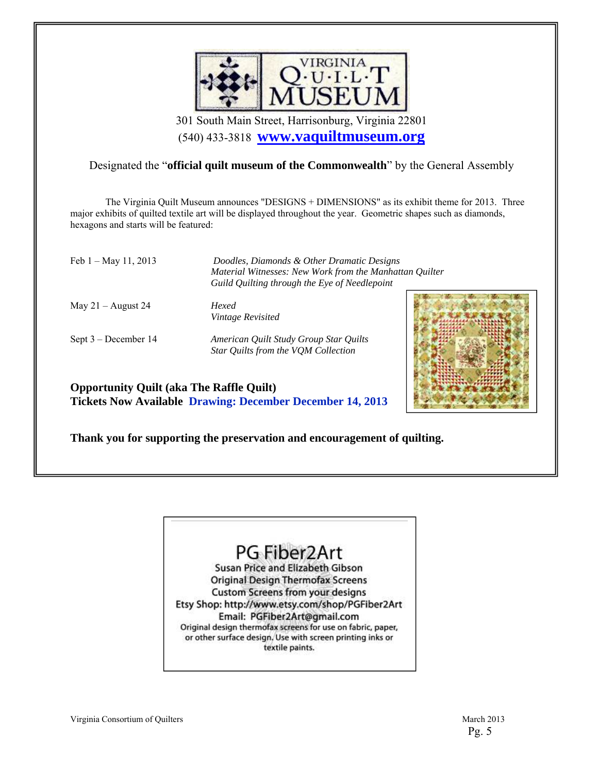

301 South Main Street, Harrisonburg, Virginia 22801 (540) 433-3818 **www.vaquiltmuseum.org**

# Designated the "**official quilt museum of the Commonwealth**" by the General Assembly

 The Virginia Quilt Museum announces "DESIGNS + DIMENSIONS" as its exhibit theme for 2013. Three major exhibits of quilted textile art will be displayed throughout the year. Geometric shapes such as diamonds, hexagons and starts will be featured:

Feb 1 – May 11, 2013 *Doodles, Diamonds & Other Dramatic Designs* 

May 21 – August 24 *Hexed* 

*Material Witnesses: New Work from the Manhattan Quilter Guild Quilting through the Eye of Needlepoint* 

*Vintage Revisited* 

Sept 3 – December 14 *American Quilt Study Group Star Quilts Star Quilts from the VQM Collection* 



**Opportunity Quilt (aka The Raffle Quilt) Tickets Now Available Drawing: December December 14, 2013** 

**Thank you for supporting the preservation and encouragement of quilting.** 



Susan Price and Elizabeth Gibson **Original Design Thermofax Screens Custom Screens from your designs** Etsy Shop: http://www.etsy.com/shop/PGFiber2Art Email: PGFiber2Art@gmail.com Original design thermofax screens for use on fabric, paper, or other surface design. Use with screen printing inks or textile paints.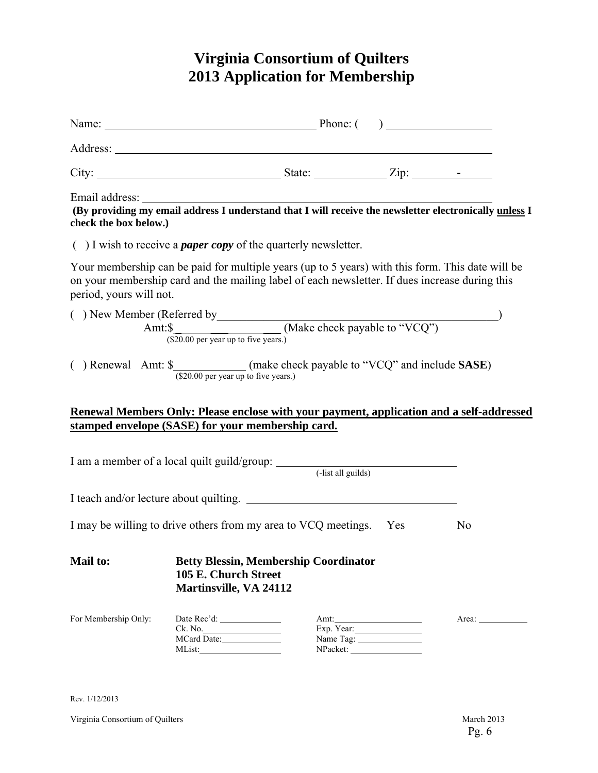# **Virginia Consortium of Quilters 2013 Application for Membership**

| check the box below.)   | Email address: The address of an interest and that I will receive the newsletter electronically unless I understand that I will receive the newsletter electronically unless I                     |                                   |                |
|-------------------------|----------------------------------------------------------------------------------------------------------------------------------------------------------------------------------------------------|-----------------------------------|----------------|
|                         | $( )$ I wish to receive a <i>paper copy</i> of the quarterly newsletter.                                                                                                                           |                                   |                |
| period, yours will not. | Your membership can be paid for multiple years (up to 5 years) with this form. This date will be<br>on your membership card and the mailing label of each newsletter. If dues increase during this |                                   |                |
|                         | ( ) New Member (Referred by $\frac{\text{Amt:}\$}{\text{Amt:}\$}$ (Make check payable to "VCQ")                                                                                                    |                                   |                |
|                         | () Renewal Amt: $\frac{\text{S}}{(\$20.00 \text{ per year up to five years.})}$ (make check payable to "VCQ" and include <b>SASE</b> )                                                             |                                   |                |
|                         | Renewal Members Only: Please enclose with your payment, application and a self-addressed                                                                                                           |                                   |                |
|                         | stamped envelope (SASE) for your membership card.                                                                                                                                                  |                                   |                |
|                         | I am a member of a local quilt guild/group: (-list all guilds)                                                                                                                                     |                                   |                |
|                         | I teach and/or lecture about quilting.                                                                                                                                                             |                                   |                |
|                         | I may be willing to drive others from my area to VCQ meetings. Yes                                                                                                                                 |                                   | N <sub>0</sub> |
| <b>Mail to:</b>         | <b>Betty Blessin, Membership Coordinator</b><br>105 E. Church Street<br>Martinsville, VA 24112                                                                                                     |                                   |                |
| For Membership Only:    | MCard Date:<br>MList:                                                                                                                                                                              | Amt:<br>Exp. $Year:$<br>Name Tag: | Area: 1988     |

Rev. 1/12/2013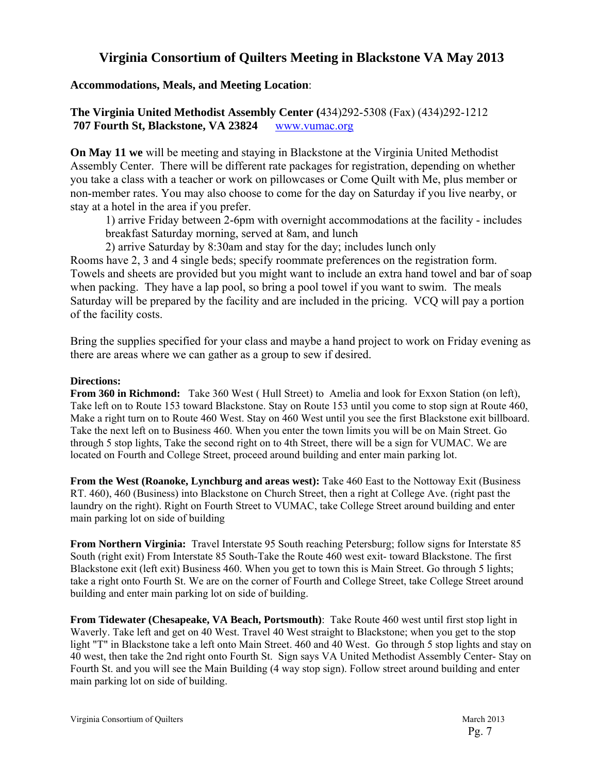# **Virginia Consortium of Quilters Meeting in Blackstone VA May 2013**

## **Accommodations, Meals, and Meeting Location**:

# **The Virginia United Methodist Assembly Center (**434)292-5308 (Fax) (434)292-1212  **707 Fourth St, Blackstone, VA 23824** www.vumac.org

**On May 11 we** will be meeting and staying in Blackstone at the Virginia United Methodist Assembly Center. There will be different rate packages for registration, depending on whether you take a class with a teacher or work on pillowcases or Come Quilt with Me, plus member or non-member rates. You may also choose to come for the day on Saturday if you live nearby, or stay at a hotel in the area if you prefer.

1) arrive Friday between 2-6pm with overnight accommodations at the facility - includes breakfast Saturday morning, served at 8am, and lunch

 2) arrive Saturday by 8:30am and stay for the day; includes lunch only Rooms have 2, 3 and 4 single beds; specify roommate preferences on the registration form. Towels and sheets are provided but you might want to include an extra hand towel and bar of soap when packing. They have a lap pool, so bring a pool towel if you want to swim. The meals Saturday will be prepared by the facility and are included in the pricing. VCQ will pay a portion of the facility costs.

Bring the supplies specified for your class and maybe a hand project to work on Friday evening as there are areas where we can gather as a group to sew if desired.

#### **Directions:**

**From 360 in Richmond:** Take 360 West ( Hull Street) to Amelia and look for Exxon Station (on left), Take left on to Route 153 toward Blackstone. Stay on Route 153 until you come to stop sign at Route 460, Make a right turn on to Route 460 West. Stay on 460 West until you see the first Blackstone exit billboard. Take the next left on to Business 460. When you enter the town limits you will be on Main Street. Go through 5 stop lights, Take the second right on to 4th Street, there will be a sign for VUMAC. We are located on Fourth and College Street, proceed around building and enter main parking lot.

**From the West (Roanoke, Lynchburg and areas west):** Take 460 East to the Nottoway Exit (Business RT. 460), 460 (Business) into Blackstone on Church Street, then a right at College Ave. (right past the laundry on the right). Right on Fourth Street to VUMAC, take College Street around building and enter main parking lot on side of building

**From Northern Virginia:** Travel Interstate 95 South reaching Petersburg; follow signs for Interstate 85 South (right exit) From Interstate 85 South-Take the Route 460 west exit- toward Blackstone. The first Blackstone exit (left exit) Business 460. When you get to town this is Main Street. Go through 5 lights; take a right onto Fourth St. We are on the corner of Fourth and College Street, take College Street around building and enter main parking lot on side of building.

**From Tidewater (Chesapeake, VA Beach, Portsmouth)**: Take Route 460 west until first stop light in Waverly. Take left and get on 40 West. Travel 40 West straight to Blackstone; when you get to the stop light "T" in Blackstone take a left onto Main Street. 460 and 40 West. Go through 5 stop lights and stay on 40 west, then take the 2nd right onto Fourth St. Sign says VA United Methodist Assembly Center- Stay on Fourth St. and you will see the Main Building (4 way stop sign). Follow street around building and enter main parking lot on side of building.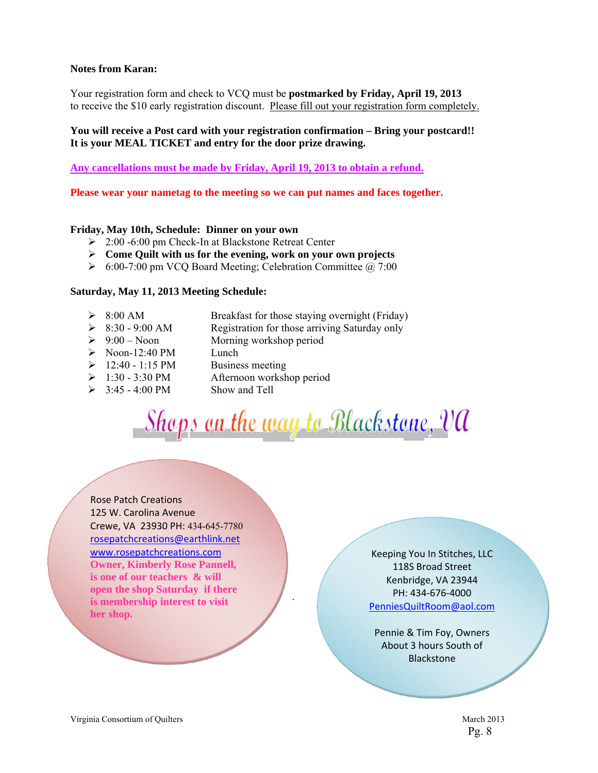#### **Notes from Karan:**

Your registration form and check to VCQ must be **postmarked by Friday, April 19, 2013**  to receive the \$10 early registration discount. Please fill out your registration form completely.

#### **You will receive a Post card with your registration confirmation – Bring your postcard!! It is your MEAL TICKET and entry for the door prize drawing.**

**Any cancellations must be made by Friday, April 19, 2013 to obtain a refund.** 

**Please wear your nametag to the meeting so we can put names and faces together.** 

#### **Friday, May 10th, Schedule: Dinner on your own**

- 2:00 -6:00 pm Check-In at Blackstone Retreat Center
- **Come Quilt with us for the evening, work on your own projects**
- $\geq 6:00-7:00$  pm VCQ Board Meeting; Celebration Committee  $\omega$  7:00

#### **Saturday, May 11, 2013 Meeting Schedule:**

- 8:00 AM Breakfast for those staying overnight (Friday)
- $\geq$  8:30 9:00 AM Registration for those arriving Saturday only
- $\geq 9:00$  Noon Morning workshop period
- $\triangleright$  Noon-12:40 PM Lunch
- $\geq 12:40 1:15 \text{ PM}$  Business meeting
- $\geq 1:30 3:30 \text{ PM}$  Afternoon workshop period
- $\geq$  3:45 4:00 PM Show and Tell

Shops on the way to Blackstone, VA

.

Rose Patch Creations 125 W. Carolina Avenue Crewe, VA 23930 PH: 434-645-7780 rosepatchcreations@earthlink.net www.rosepatchcreations.com **Owner, Kimberly Rose Pannell, is one of our teachers & will open the shop Saturday if there is membership interest to visit her shop.** 

Keeping You In Stitches, LLC 118S Broad Street Kenbridge, VA 23944 PH: 434‐676‐4000 PenniesQuiltRoom@aol.com

Pennie & Tim Foy, Owners About 3 hours South of Blackstone

Pg. 8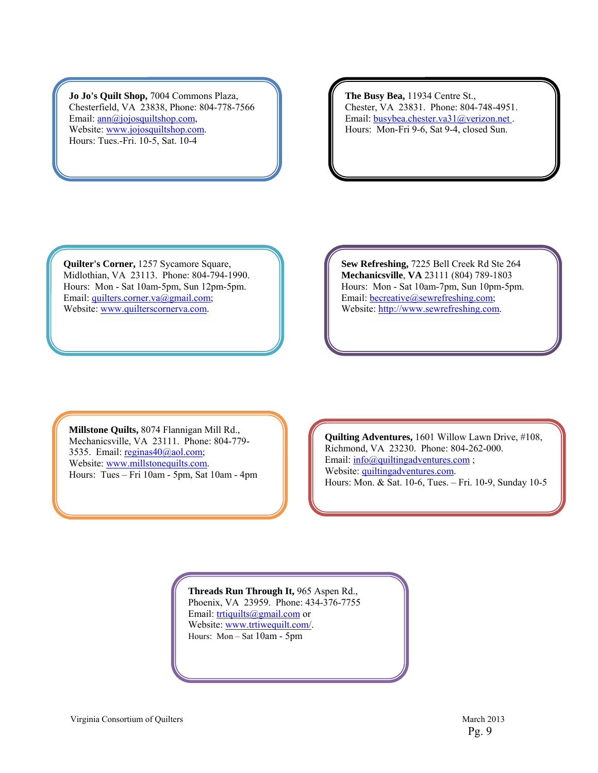**Jo Jo's Quilt Shop,** 7004 Commons Plaza, Chesterfield, VA 23838, Phone: 804-778-7566 Email: <u>ann@jojosquiltshop.com</u>, Website: www.jojosquiltshop.com. Hours: Tues.-Fri. 10-5, Sat. 10-4

**The Busy Bea,** 11934 Centre St., Chester, VA 23831. Phone: 804-748-4951. Email: busybea.chester.va31@verizon.net. Hours: Mon-Fri 9-6, Sat 9-4, closed Sun.

**Quilter's Corner,** 1257 Sycamore Square, Midlothian, VA 23113. Phone: 804-794-1990. Hours: Mon - Sat 10am-5pm, Sun 12pm-5pm. Email: quilters.corner.va@gmail.com; Website: www.quilterscornerva.com.

**Sew Refreshing,** 7225 Bell Creek Rd Ste 264 **Mechanicsville**, **VA** 23111 (804) 789-1803 Hours: Mon - Sat 10am-7pm, Sun 10pm-5pm. Email: **becreative**@sewrefreshing.com; Website: http://www.sewrefreshing.com.

**Millstone Quilts,** 8074 Flannigan Mill Rd., Mechanicsville, VA 23111. Phone: 804-779- 3535. Email: reginas40@aol.com; Website: www.millstonequilts.com. Hours: Tues – Fri 10am - 5pm, Sat 10am - 4pm

**Quilting Adventures,** 1601 Willow Lawn Drive, #108, Richmond, VA 23230. Phone: 804-262-000. Email:  $info(\omega$ quiltingadventures.com; Website: quiltingadventures.com. Hours: Mon. & Sat. 10-6, Tues. – Fri. 10-9, Sunday 10-5

**Threads Run Through It,** 965 Aspen Rd.,

Phoenix, VA 23959. Phone: 434-376-7755 Email: trtiquilts@gmail.com or Website: www.trtiwequilt.com/. Hours: Mon – Sat 10am - 5pm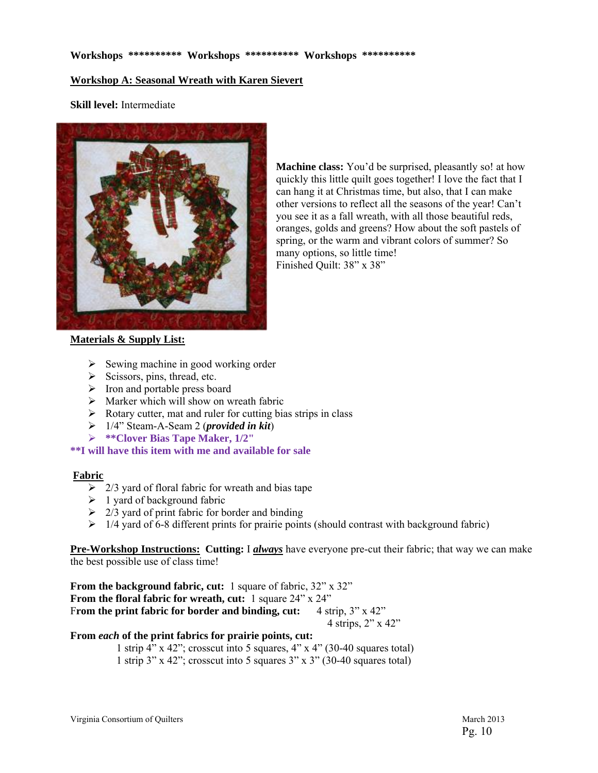#### **Workshop A: Seasonal Wreath with Karen Sievert**

**Skill level:** Intermediate



**Machine class:** You'd be surprised, pleasantly so! at how quickly this little quilt goes together! I love the fact that I can hang it at Christmas time, but also, that I can make other versions to reflect all the seasons of the year! Can't you see it as a fall wreath, with all those beautiful reds, oranges, golds and greens? How about the soft pastels of spring, or the warm and vibrant colors of summer? So many options, so little time! Finished Quilt: 38" x 38"

#### **Materials & Supply List:**

- $\triangleright$  Sewing machine in good working order
- $\triangleright$  Scissors, pins, thread, etc.
- $\triangleright$  Iron and portable press board
- $\triangleright$  Marker which will show on wreath fabric
- $\triangleright$  Rotary cutter, mat and ruler for cutting bias strips in class
- 1/4" Steam-A-Seam 2 (*provided in kit*)
- **\*\*Clover Bias Tape Maker, 1/2"**

**\*\*I will have this item with me and available for sale**

#### **Fabric**

- $\geq$  2/3 yard of floral fabric for wreath and bias tape
- $\geq 1$  yard of background fabric
- $\geq$  2/3 yard of print fabric for border and binding
- $\geq$  1/4 yard of 6-8 different prints for prairie points (should contrast with background fabric)

**Pre-Workshop Instructions: Cutting:** I *always* have everyone pre-cut their fabric; that way we can make the best possible use of class time!

**From the background fabric, cut:** 1 square of fabric,  $32^{\circ} \times 32^{\circ}$ **From the floral fabric for wreath, cut:** 1 square 24" x 24" From the print fabric for border and binding, cut: 4 strip, 3" x 42" 4 strips, 2" x 42"

#### **From** *each* **of the print fabrics for prairie points, cut:**

 1 strip 4" x 42"; crosscut into 5 squares, 4" x 4" (30-40 squares total) 1 strip 3" x 42"; crosscut into 5 squares 3" x 3" (30-40 squares total)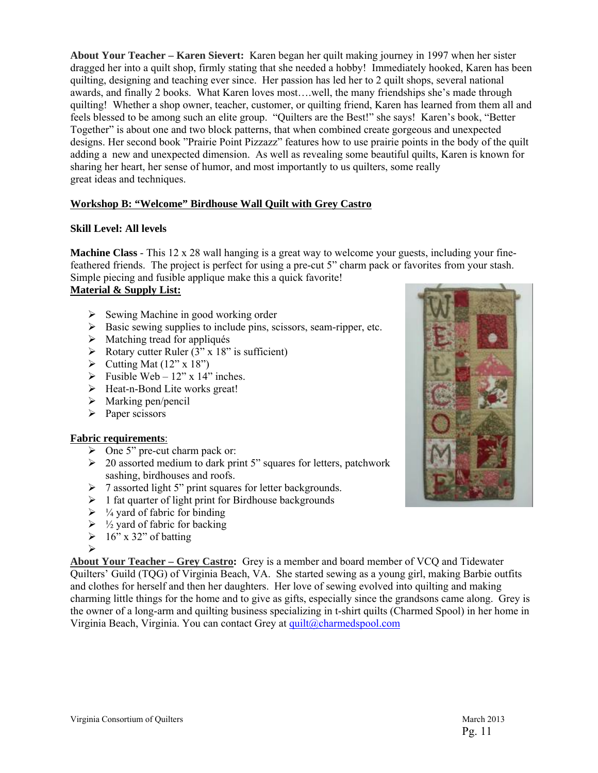**About Your Teacher – Karen Sievert:** Karen began her quilt making journey in 1997 when her sister dragged her into a quilt shop, firmly stating that she needed a hobby! Immediately hooked, Karen has been quilting, designing and teaching ever since. Her passion has led her to 2 quilt shops, several national awards, and finally 2 books. What Karen loves most….well, the many friendships she's made through quilting! Whether a shop owner, teacher, customer, or quilting friend, Karen has learned from them all and feels blessed to be among such an elite group. "Quilters are the Best!" she says! Karen's book, "Better Together" is about one and two block patterns, that when combined create gorgeous and unexpected designs. Her second book "Prairie Point Pizzazz" features how to use prairie points in the body of the quilt adding a new and unexpected dimension. As well as revealing some beautiful quilts, Karen is known for sharing her heart, her sense of humor, and most importantly to us quilters, some really great ideas and techniques.

#### **Workshop B: "Welcome" Birdhouse Wall Quilt with Grey Castro**

#### **Skill Level: All levels**

**Machine Class** - This 12 x 28 wall hanging is a great way to welcome your guests, including your finefeathered friends. The project is perfect for using a pre-cut 5" charm pack or favorites from your stash. Simple piecing and fusible applique make this a quick favorite!

#### **Material & Supply List:**

- $\triangleright$  Sewing Machine in good working order
- $\triangleright$  Basic sewing supplies to include pins, scissors, seam-ripper, etc.
- $\triangleright$  Matching tread for appliqués
- $\triangleright$  Rotary cutter Ruler (3" x 18" is sufficient)
- $\triangleright$  Cutting Mat (12" x 18")
- $\triangleright$  Fusible Web 12" x 14" inches.
- $\triangleright$  Heat-n-Bond Lite works great!
- $\triangleright$  Marking pen/pencil
- $\triangleright$  Paper scissors

#### **Fabric requirements**:

- $\triangleright$  One 5" pre-cut charm pack or:
- $\geq 20$  assorted medium to dark print 5" squares for letters, patchwork sashing, birdhouses and roofs.
- $\triangleright$  7 assorted light 5" print squares for letter backgrounds.
- $\geq 1$  fat quarter of light print for Birdhouse backgrounds
- $\triangleright$  1/4 yard of fabric for binding
- $\triangleright$  1/2 yard of fabric for backing
- $\geq 16$ " x 32" of batting
- $\triangleright$

**About Your Teacher – Grey Castro:** Grey is a member and board member of VCQ and Tidewater Quilters' Guild (TQG) of Virginia Beach, VA. She started sewing as a young girl, making Barbie outfits and clothes for herself and then her daughters. Her love of sewing evolved into quilting and making charming little things for the home and to give as gifts, especially since the grandsons came along. Grey is the owner of a long-arm and quilting business specializing in t-shirt quilts (Charmed Spool) in her home in Virginia Beach, Virginia. You can contact Grey at quilt@charmedspool.com

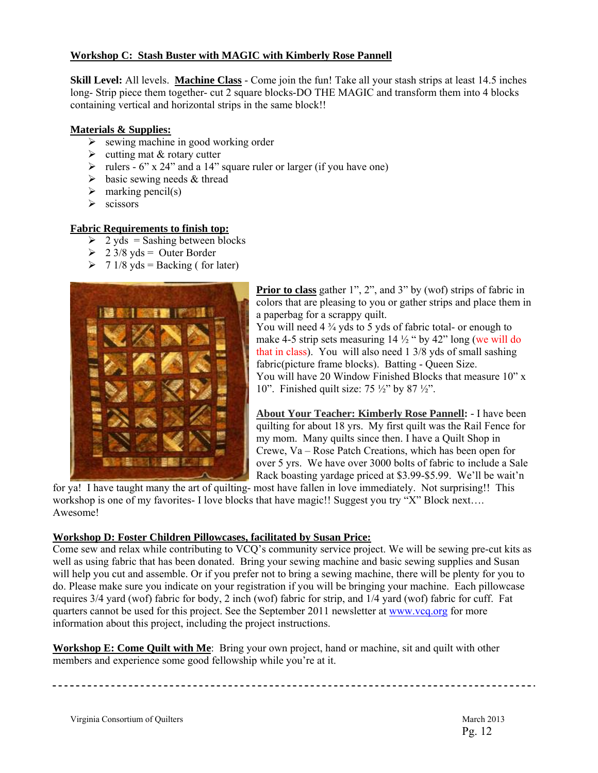#### **Workshop C: Stash Buster with MAGIC with Kimberly Rose Pannell**

**Skill Level:** All levels. **Machine Class** - Come join the fun! Take all your stash strips at least 14.5 inches long- Strip piece them together- cut 2 square blocks-DO THE MAGIC and transform them into 4 blocks containing vertical and horizontal strips in the same block!!

#### **Materials & Supplies:**

- $\triangleright$  sewing machine in good working order
- $\triangleright$  cutting mat & rotary cutter
- rulers  $6$ " x 24" and a 14" square ruler or larger (if you have one)
- $\triangleright$  basic sewing needs & thread
- $\triangleright$  marking pencil(s)
- $\triangleright$  scissors

#### **Fabric Requirements to finish top:**

- $\geq$  2 yds = Sashing between blocks
- $\geq$  2 3/8 yds = Outer Border
- $\triangleright$  7 1/8 yds = Backing (for later)



**Prior to class** gather 1", 2", and 3" by (wof) strips of fabric in colors that are pleasing to you or gather strips and place them in a paperbag for a scrappy quilt.

You will need 4  $\frac{3}{4}$  yds to 5 yds of fabric total- or enough to make 4-5 strip sets measuring  $14\frac{1}{2}$  " by 42" long (we will do that in class). You will also need 1 3/8 yds of small sashing fabric(picture frame blocks). Batting - Queen Size. You will have 20 Window Finished Blocks that measure  $10$ " x 10". Finished quilt size: 75 ½" by 87 ½".

**About Your Teacher: Kimberly Rose Pannell: -** I have been quilting for about 18 yrs. My first quilt was the Rail Fence for my mom. Many quilts since then. I have a Quilt Shop in Crewe, Va – Rose Patch Creations, which has been open for over 5 yrs. We have over 3000 bolts of fabric to include a Sale Rack boasting yardage priced at \$3.99-\$5.99. We'll be wait'n

for ya! I have taught many the art of quilting- most have fallen in love immediately. Not surprising!! This workshop is one of my favorites- I love blocks that have magic!! Suggest you try "X" Block next.... Awesome!

#### **Workshop D: Foster Children Pillowcases, facilitated by Susan Price:**

Come sew and relax while contributing to VCQ's community service project. We will be sewing pre-cut kits as well as using fabric that has been donated. Bring your sewing machine and basic sewing supplies and Susan will help you cut and assemble. Or if you prefer not to bring a sewing machine, there will be plenty for you to do. Please make sure you indicate on your registration if you will be bringing your machine. Each pillowcase requires 3/4 yard (wof) fabric for body, 2 inch (wof) fabric for strip, and 1/4 yard (wof) fabric for cuff. Fat quarters cannot be used for this project. See the September 2011 newsletter at www.vcq.org for more information about this project, including the project instructions.

**Workshop E: Come Quilt with Me**: Bring your own project, hand or machine, sit and quilt with other members and experience some good fellowship while you're at it.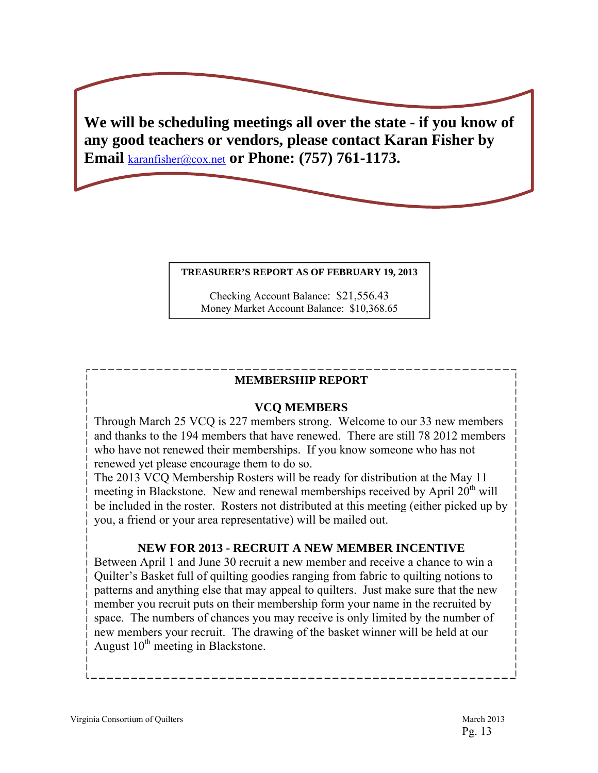**We will be scheduling meetings all over the state - if you know of any good teachers or vendors, please contact Karan Fisher by Email** karanfisher@cox.net **or Phone: (757) 761-1173.**

#### **TREASURER'S REPORT AS OF FEBRUARY 19, 2013**

Checking Account Balance: \$21,556.43 Money Market Account Balance: \$10,368.65

## **MEMBERSHIP REPORT**

# **VCQ MEMBERS**

Through March 25 VCQ is 227 members strong. Welcome to our 33 new members and thanks to the 194 members that have renewed. There are still 78 2012 members who have not renewed their memberships. If you know someone who has not renewed yet please encourage them to do so.

The 2013 VCQ Membership Rosters will be ready for distribution at the May 11 meeting in Blackstone. New and renewal memberships received by April  $20<sup>th</sup>$  will be included in the roster. Rosters not distributed at this meeting (either picked up by you, a friend or your area representative) will be mailed out.

# **NEW FOR 2013 - RECRUIT A NEW MEMBER INCENTIVE**

Between April 1 and June 30 recruit a new member and receive a chance to win a Quilter's Basket full of quilting goodies ranging from fabric to quilting notions to patterns and anything else that may appeal to quilters. Just make sure that the new member you recruit puts on their membership form your name in the recruited by space. The numbers of chances you may receive is only limited by the number of new members your recruit. The drawing of the basket winner will be held at our August  $10^{th}$  meeting in Blackstone.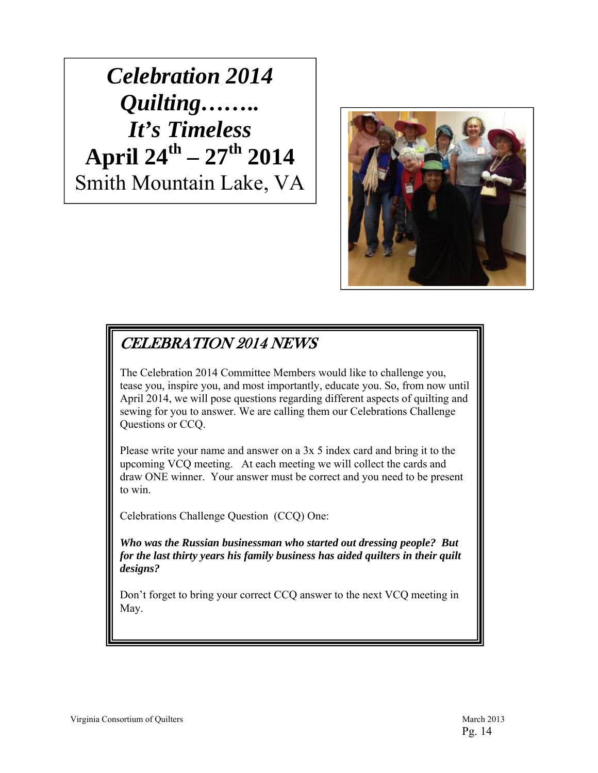*Celebration 2014 Quilting…….. It's Timeless* **April 24th – 27th 2014**  Smith Mountain Lake, VA



# CELEBRATION 2014 NEWS

The Celebration 2014 Committee Members would like to challenge you, tease you, inspire you, and most importantly, educate you. So, from now until April 2014, we will pose questions regarding different aspects of quilting and sewing for you to answer. We are calling them our Celebrations Challenge Questions or CCQ.

Please write your name and answer on a 3x 5 index card and bring it to the upcoming VCQ meeting. At each meeting we will collect the cards and draw ONE winner. Your answer must be correct and you need to be present to win.

Celebrations Challenge Question (CCQ) One:

*Who was the Russian businessman who started out dressing people? But for the last thirty years his family business has aided quilters in their quilt designs?*

Don't forget to bring your correct CCQ answer to the next VCQ meeting in May.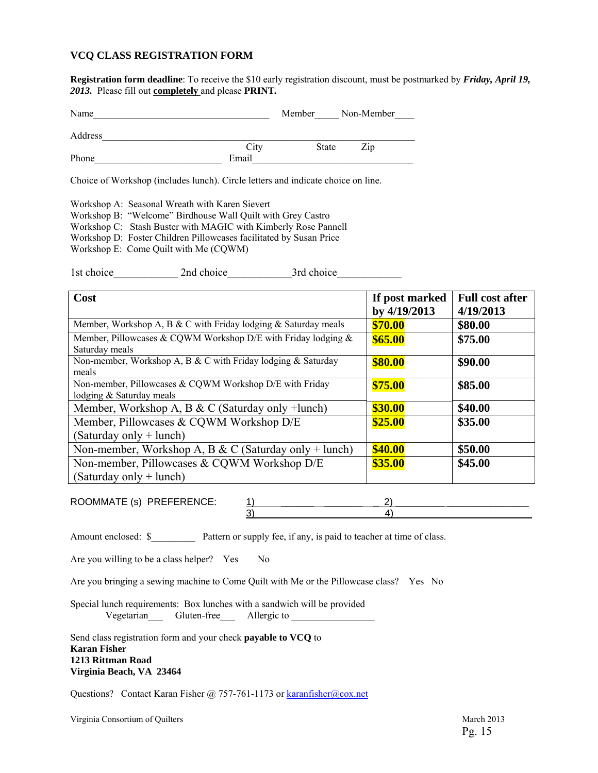#### **VCQ CLASS REGISTRATION FORM**

**Registration form deadline**: To receive the \$10 early registration discount, must be postmarked by *Friday, April 19, 2013.* Please fill out **completely** and please **PRINT***.* 

| Name    |       | Member       | Non-Member |
|---------|-------|--------------|------------|
| Address |       |              |            |
|         | City  | <b>State</b> | Zip        |
| Phone   | Email |              |            |

Choice of Workshop (includes lunch). Circle letters and indicate choice on line.

Workshop A: Seasonal Wreath with Karen Sievert

Workshop B: "Welcome" Birdhouse Wall Quilt with Grey Castro

Workshop C: Stash Buster with MAGIC with Kimberly Rose Pannell

Workshop D: Foster Children Pillowcases facilitated by Susan Price

Workshop E: Come Quilt with Me (CQWM)

1st choice 2nd choice 3rd choice

| Cost                                                                                | If post marked<br>by 4/19/2013 | <b>Full cost after</b><br>4/19/2013 |
|-------------------------------------------------------------------------------------|--------------------------------|-------------------------------------|
| Member, Workshop A, B & C with Friday lodging $&$ Saturday meals                    | \$70.00                        | \$80.00                             |
| Member, Pillowcases & CQWM Workshop D/E with Friday lodging $&$<br>Saturday meals   | \$65.00                        | \$75.00                             |
| Non-member, Workshop A, B & C with Friday lodging & Saturday<br>meals               | \$80.00                        | \$90.00                             |
| Non-member, Pillowcases & CQWM Workshop D/E with Friday<br>lodging & Saturday meals | \$75.00                        | \$85.00                             |
| Member, Workshop A, B & C (Saturday only +lunch)                                    | \$30.00                        | \$40.00                             |
| Member, Pillowcases & CQWM Workshop D/E<br>(Saturday only + lunch)                  | \$25.00                        | \$35.00                             |
| Non-member, Workshop A, B & C (Saturday only + lunch)                               | \$40.00                        | \$50.00                             |
| Non-member, Pillowcases & CQWM Workshop D/E<br>$(Saturday only + lunch)$            | \$35.00                        | \$45.00                             |

ROOMMATE (s) PREFERENCE: 1) \_\_\_\_\_\_ \_\_\_\_\_\_\_ \_ 2) \_\_\_\_\_\_\_\_\_ \_\_\_\_\_\_\_\_\_\_\_\_\_\_\_  $3)$   $(3)$ 

Amount enclosed: \$ Pattern or supply fee, if any, is paid to teacher at time of class.

Are you willing to be a class helper? Yes No

Are you bringing a sewing machine to Come Quilt with Me or the Pillowcase class? Yes No

Special lunch requirements: Box lunches with a sandwich will be provided Vegetarian\_\_\_ Gluten-free\_\_\_ Allergic to \_\_\_\_\_\_\_\_\_\_\_\_\_\_\_\_\_

Send class registration form and your check **payable to VCQ** to **Karan Fisher 1213 Rittman Road Virginia Beach, VA 23464** 

Questions? Contact Karan Fisher @ 757-761-1173 or karanfisher@cox.net